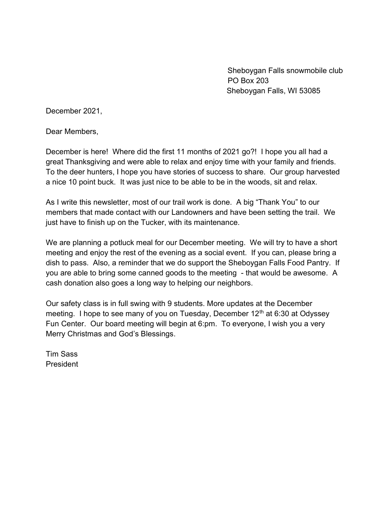Sheboygan Falls snowmobile club PO Box 203 Sheboygan Falls, WI 53085

December 2021,

Dear Members,

December is here! Where did the first 11 months of 2021 go?! I hope you all had a great Thanksgiving and were able to relax and enjoy time with your family and friends. To the deer hunters, I hope you have stories of success to share. Our group harvested a nice 10 point buck. It was just nice to be able to be in the woods, sit and relax.

As I write this newsletter, most of our trail work is done. A big "Thank You" to our members that made contact with our Landowners and have been setting the trail. We just have to finish up on the Tucker, with its maintenance.

We are planning a potluck meal for our December meeting. We will try to have a short meeting and enjoy the rest of the evening as a social event. If you can, please bring a dish to pass. Also, a reminder that we do support the Sheboygan Falls Food Pantry. If you are able to bring some canned goods to the meeting - that would be awesome. A cash donation also goes a long way to helping our neighbors.

Our safety class is in full swing with 9 students. More updates at the December meeting. I hope to see many of you on Tuesday, December  $12<sup>th</sup>$  at 6:30 at Odyssey Fun Center. Our board meeting will begin at 6:pm. To everyone, I wish you a very Merry Christmas and God's Blessings.

Tim Sass President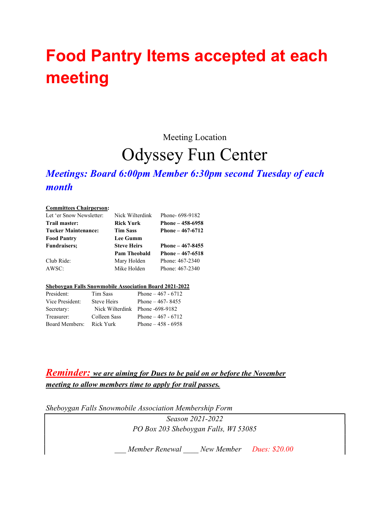# Food Pantry Items accepted at each meeting

Meeting Location

## Odyssey Fun Center

### Meetings: Board 6:00pm Member 6:30pm second Tuesday of each month

#### Committees Chairperson:

| Let 'er Snow Newsletter:   | Nick Wilterdink     | Phone-698-9182    |
|----------------------------|---------------------|-------------------|
| Trail master:              | Rick Yurk           | Phone $-458-6958$ |
| <b>Tucker Maintenance:</b> | <b>Tim Sass</b>     | Phone $-467-6712$ |
| <b>Food Pantry</b>         | <b>Lee Gumm</b>     |                   |
| <b>Fundraisers:</b>        | <b>Steve Heirs</b>  | Phone $-467-8455$ |
|                            | <b>Pam Theobald</b> | Phone $-467-6518$ |
| Club Ride:                 | Mary Holden         | Phone: 467-2340   |
| AWSC:                      | Mike Holden         | Phone: 467-2340   |

#### Sheboygan Falls Snowmobile Association Board 2021-2022

| President:            | Tim Sass           | Phone $-467 - 6712$             |
|-----------------------|--------------------|---------------------------------|
| Vice President:       | <b>Steve Heirs</b> | Phone $-467 - 8455$             |
| Secretary:            |                    | Nick Wilterdink Phone -698-9182 |
| Treasurer:            | Colleen Sass       | Phone $-467 - 6712$             |
| <b>Board Members:</b> | Rick Yurk          | Phone $-458 - 6958$             |

### **Reminder:** we are aiming for Dues to be paid on or before the November meeting to allow members time to apply for trail passes.

Sheboygan Falls Snowmobile Association Membership Form

Season 2021-2022 PO Box 203 Sheboygan Falls, WI 53085

Member Renewal Mew Member Dues: \$20.00